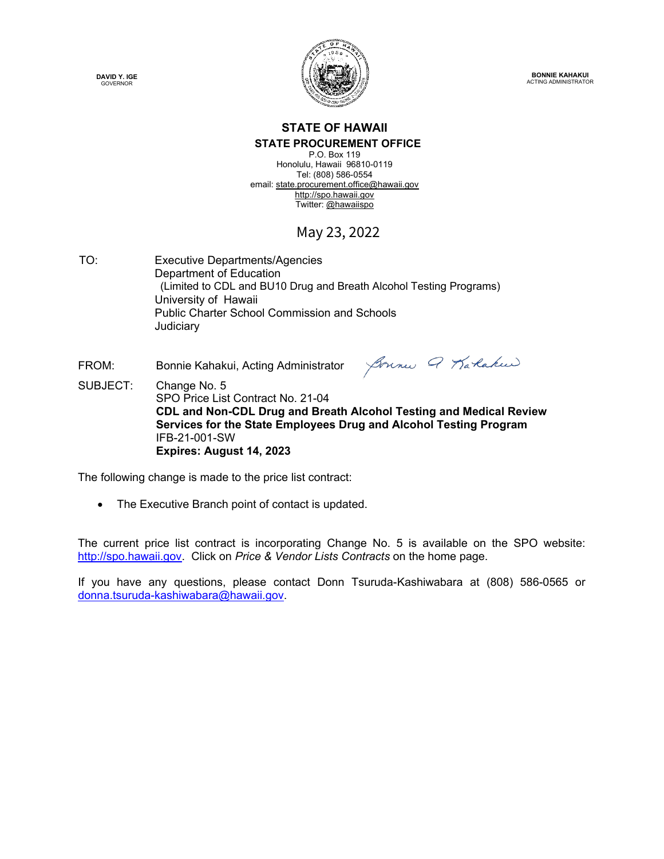



**BONNIE KAHAKUI** ACTING ADMINISTRATOR

#### **STATE OF HAWAII STATE PROCUREMENT OFFICE**

P.O. Box 119 Honolulu, Hawaii 96810-0119 Tel: (808) 586-0554 email[: state.procurement.office@hawaii.gov](mailto:state.procurement.office@hawaii.gov)  [http://spo.hawaii.gov](http://spo.hawaii.gov/)  Twitter: [@hawaiispo](https://twitter.com/hawaiispo) 

## May 23, 2022

TO: Executive Departments/Agencies Department of Education (Limited to CDL and BU10 Drug and Breath Alcohol Testing Programs) University of Hawaii Public Charter School Commission and Schools Judiciary

FROM: Bonnie Kahakui, Acting Administrator

Joune Q Karlakee

SUBJECT: Change No. 5 SPO Price List Contract No. 21-04  **CDL and Non-CDL Drug and Breath Alcohol Testing and Medical Review Services for the State Employees Drug and Alcohol Testing Program** IFB-21-001-SW  **Expires: August 14, 2023** 

The following change is made to the price list contract:

• The Executive Branch point of contact is updated.

The current price list contract is incorporating Change No. 5 is available on the SPO website: [http://spo.hawaii.gov.](http://spo.hawaii.gov/) Click on *Price & Vendor Lists Contracts* on the home page.

If you have any questions, please contact Donn Tsuruda-Kashiwabara at (808) 586-0565 or [donna.tsuruda-kashiwabara@hawaii.gov.](mailto:donna.tsuruda-kashiwabara@hawaii.gov)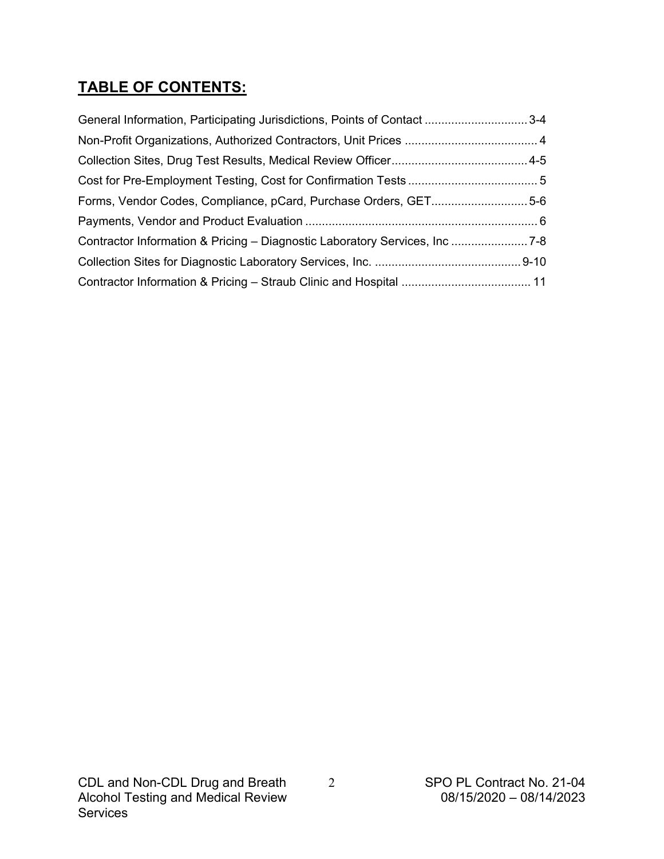## **TABLE OF CONTENTS:**

| General Information, Participating Jurisdictions, Points of Contact 3-4   |  |
|---------------------------------------------------------------------------|--|
|                                                                           |  |
|                                                                           |  |
|                                                                           |  |
| Forms, Vendor Codes, Compliance, pCard, Purchase Orders, GET5-6           |  |
|                                                                           |  |
| Contractor Information & Pricing - Diagnostic Laboratory Services, Inc7-8 |  |
|                                                                           |  |
|                                                                           |  |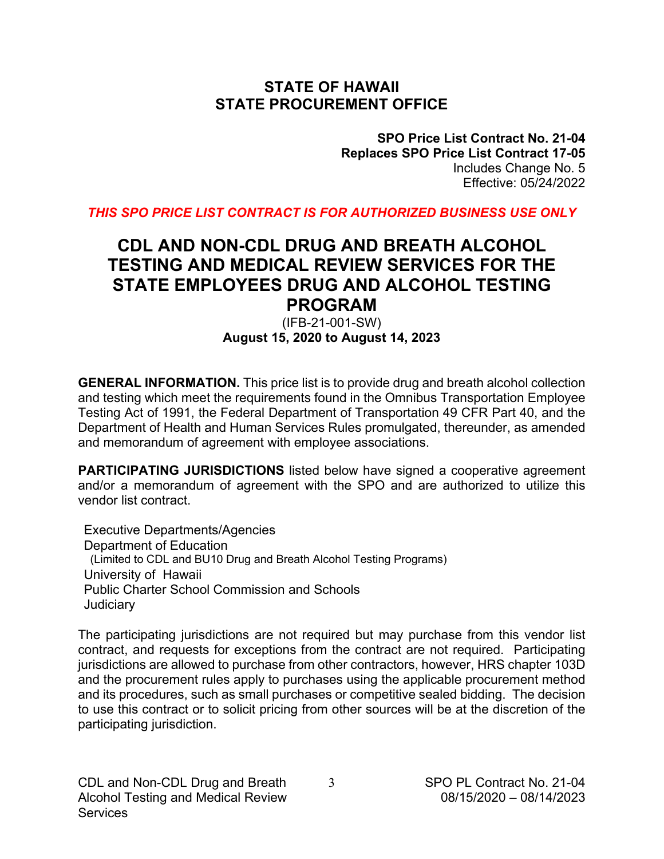## **STATE OF HAWAII STATE PROCUREMENT OFFICE**

**SPO Price List Contract No. 21-04 Replaces SPO Price List Contract 17-05** Includes Change No. 5 Effective: 05/24/2022

*THIS SPO PRICE LIST CONTRACT IS FOR AUTHORIZED BUSINESS USE ONLY*

## **CDL AND NON-CDL DRUG AND BREATH ALCOHOL TESTING AND MEDICAL REVIEW SERVICES FOR THE STATE EMPLOYEES DRUG AND ALCOHOL TESTING PROGRAM**

### (IFB-21-001-SW) **August 15, 2020 to August 14, 2023**

**GENERAL INFORMATION.** This price list is to provide drug and breath alcohol collection and testing which meet the requirements found in the Omnibus Transportation Employee Testing Act of 1991, the Federal Department of Transportation 49 CFR Part 40, and the Department of Health and Human Services Rules promulgated, thereunder, as amended and memorandum of agreement with employee associations.

**PARTICIPATING JURISDICTIONS** listed below have signed a cooperative agreement and/or a memorandum of agreement with the SPO and are authorized to utilize this vendor list contract.

Executive Departments/Agencies Department of Education (Limited to CDL and BU10 Drug and Breath Alcohol Testing Programs) University of Hawaii Public Charter School Commission and Schools **Judiciary** 

The participating jurisdictions are not required but may purchase from this vendor list contract, and requests for exceptions from the contract are not required. Participating jurisdictions are allowed to purchase from other contractors, however, HRS chapter 103D and the procurement rules apply to purchases using the applicable procurement method and its procedures, such as small purchases or competitive sealed bidding. The decision to use this contract or to solicit pricing from other sources will be at the discretion of the participating jurisdiction.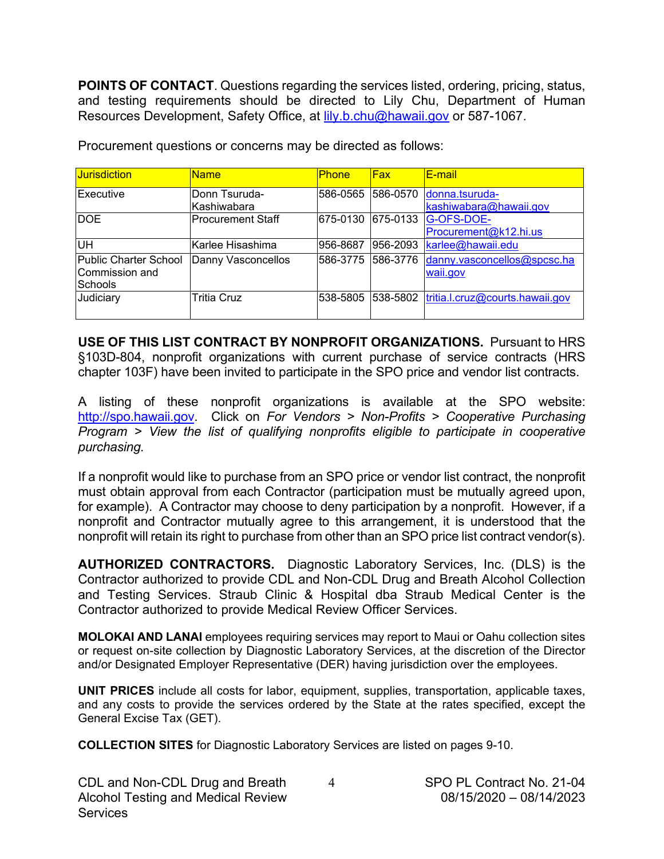**POINTS OF CONTACT**. Questions regarding the services listed, ordering, pricing, status, and testing requirements should be directed to Lily Chu, Department of Human Resources Development, Safety Office, at [lily.b.chu@hawaii.gov](mailto:lily.b.chu@hawaii.gov) or 587-1067.

| <b>Jurisdiction</b>                                | <b>Name</b>                  | <b>Phone</b> | Fax      | E-mail                                   |
|----------------------------------------------------|------------------------------|--------------|----------|------------------------------------------|
| Executive                                          | Donn Tsuruda-<br>Kashiwabara | 586-0565     | 586-0570 | donna.tsuruda-<br>kashiwabara@hawaii.gov |
| <b>DOE</b>                                         | <b>Procurement Staff</b>     | 675-0130     | 675-0133 | G-OFS-DOE-<br>Procurement@k12.hi.us      |
| lин                                                | Karlee Hisashima             | 956-8687     | 956-2093 | karlee@hawaii.edu                        |
| Public Charter School<br>Commission and<br>Schools | Danny Vasconcellos           | 586-3775     | 586-3776 | danny.vasconcellos@spcsc.ha<br>waii.gov  |
| Judiciary                                          | <b>Tritia Cruz</b>           | 538-5805     |          | 538-5802 tritia.l.cruz@courts.hawaii.gov |

Procurement questions or concerns may be directed as follows:

**USE OF THIS LIST CONTRACT BY NONPROFIT ORGANIZATIONS.** Pursuant to HRS §103D-804, nonprofit organizations with current purchase of service contracts (HRS chapter 103F) have been invited to participate in the SPO price and vendor list contracts.

A listing of these nonprofit organizations is available at the SPO website: [http://spo.hawaii.gov.](http://spo.hawaii.gov/) Click on *For Vendors > Non-Profits > Cooperative Purchasing Program > View the list of qualifying nonprofits eligible to participate in cooperative purchasing.*

If a nonprofit would like to purchase from an SPO price or vendor list contract, the nonprofit must obtain approval from each Contractor (participation must be mutually agreed upon, for example). A Contractor may choose to deny participation by a nonprofit. However, if a nonprofit and Contractor mutually agree to this arrangement, it is understood that the nonprofit will retain its right to purchase from other than an SPO price list contract vendor(s).

**AUTHORIZED CONTRACTORS.** Diagnostic Laboratory Services, Inc. (DLS) is the Contractor authorized to provide CDL and Non-CDL Drug and Breath Alcohol Collection and Testing Services. Straub Clinic & Hospital dba Straub Medical Center is the Contractor authorized to provide Medical Review Officer Services.

**MOLOKAI AND LANAI** employees requiring services may report to Maui or Oahu collection sites or request on-site collection by Diagnostic Laboratory Services, at the discretion of the Director and/or Designated Employer Representative (DER) having jurisdiction over the employees.

**UNIT PRICES** include all costs for labor, equipment, supplies, transportation, applicable taxes, and any costs to provide the services ordered by the State at the rates specified, except the General Excise Tax (GET).

**COLLECTION SITES** for Diagnostic Laboratory Services are listed on pages 9-10.

| CDL and Non-CDL Drug and Breath    | SPO PL Contract No. 21-04 |
|------------------------------------|---------------------------|
| Alcohol Testing and Medical Review | 08/15/2020 - 08/14/2023   |
| <b>Services</b>                    |                           |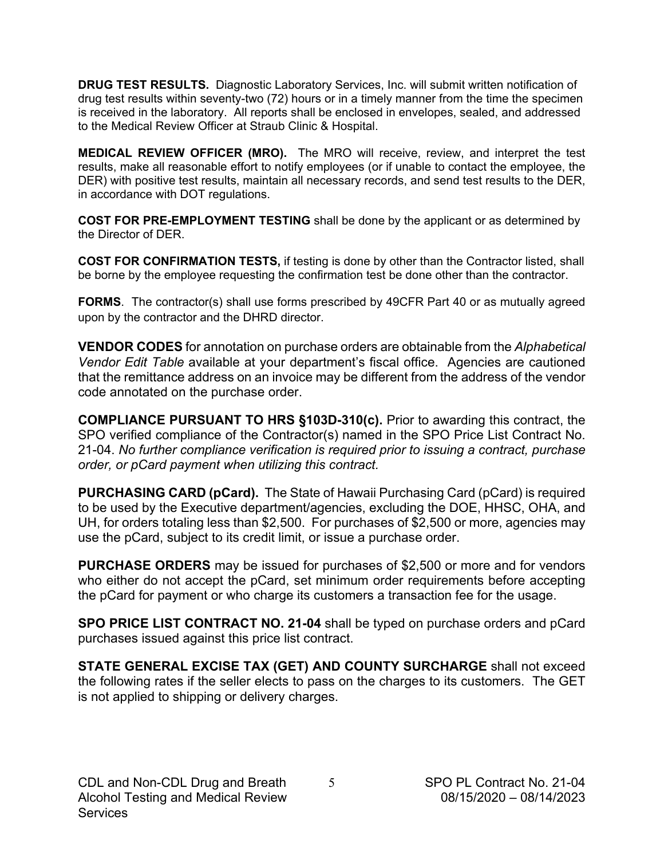**DRUG TEST RESULTS.** Diagnostic Laboratory Services, Inc. will submit written notification of drug test results within seventy-two (72) hours or in a timely manner from the time the specimen is received in the laboratory. All reports shall be enclosed in envelopes, sealed, and addressed to the Medical Review Officer at Straub Clinic & Hospital.

**MEDICAL REVIEW OFFICER (MRO).** The MRO will receive, review, and interpret the test results, make all reasonable effort to notify employees (or if unable to contact the employee, the DER) with positive test results, maintain all necessary records, and send test results to the DER, in accordance with DOT regulations.

**COST FOR PRE-EMPLOYMENT TESTING** shall be done by the applicant or as determined by the Director of DER.

**COST FOR CONFIRMATION TESTS,** if testing is done by other than the Contractor listed, shall be borne by the employee requesting the confirmation test be done other than the contractor.

**FORMS**. The contractor(s) shall use forms prescribed by 49CFR Part 40 or as mutually agreed upon by the contractor and the DHRD director.

**VENDOR CODES** for annotation on purchase orders are obtainable from the *Alphabetical Vendor Edit Table* available at your department's fiscal office. Agencies are cautioned that the remittance address on an invoice may be different from the address of the vendor code annotated on the purchase order.

**COMPLIANCE PURSUANT TO HRS §103D-310(c).** Prior to awarding this contract, the SPO verified compliance of the Contractor(s) named in the SPO Price List Contract No. 21-04. *No further compliance verification is required prior to issuing a contract, purchase order, or pCard payment when utilizing this contract.*

**PURCHASING CARD (pCard).** The State of Hawaii Purchasing Card (pCard) is required to be used by the Executive department/agencies, excluding the DOE, HHSC, OHA, and UH, for orders totaling less than \$2,500. For purchases of \$2,500 or more, agencies may use the pCard, subject to its credit limit, or issue a purchase order.

**PURCHASE ORDERS** may be issued for purchases of \$2,500 or more and for vendors who either do not accept the pCard, set minimum order requirements before accepting the pCard for payment or who charge its customers a transaction fee for the usage.

**SPO PRICE LIST CONTRACT NO. 21-04** shall be typed on purchase orders and pCard purchases issued against this price list contract.

**STATE GENERAL EXCISE TAX (GET) AND COUNTY SURCHARGE** shall not exceed the following rates if the seller elects to pass on the charges to its customers. The GET is not applied to shipping or delivery charges.

5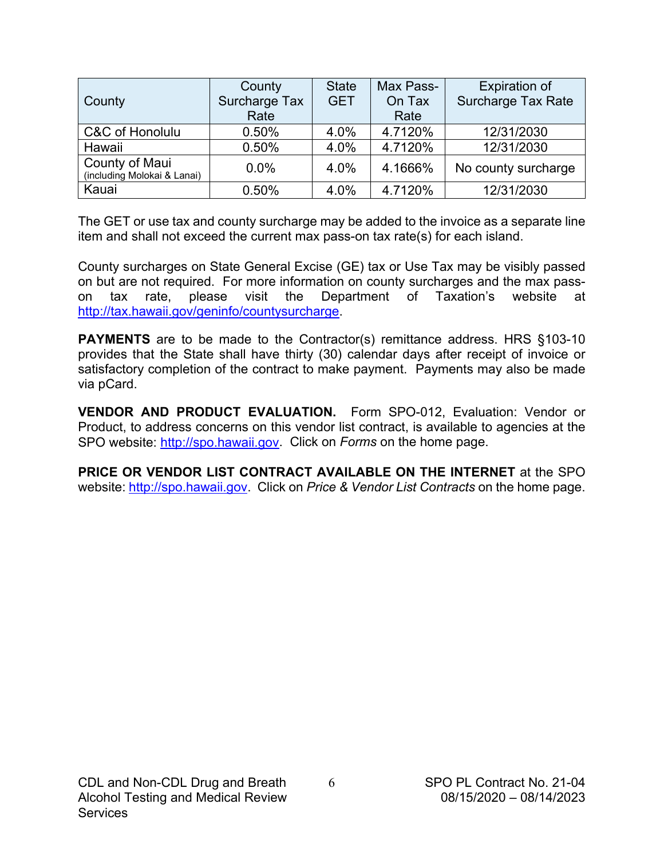|                                               | County        | <b>State</b> | Max Pass- | <b>Expiration of</b>      |
|-----------------------------------------------|---------------|--------------|-----------|---------------------------|
| County                                        | Surcharge Tax | <b>GET</b>   | On Tax    | <b>Surcharge Tax Rate</b> |
|                                               | Rate          |              | Rate      |                           |
| <b>C&amp;C of Honolulu</b>                    | 0.50%         | 4.0%         | 4.7120%   | 12/31/2030                |
| Hawaii                                        | 0.50%         | 4.0%         | 4.7120%   | 12/31/2030                |
| County of Maui<br>(including Molokai & Lanai) | $0.0\%$       | 4.0%         | 4.1666%   | No county surcharge       |
| Kauai                                         | 0.50%         | 4.0%         | 4.7120%   | 12/31/2030                |

The GET or use tax and county surcharge may be added to the invoice as a separate line item and shall not exceed the current max pass-on tax rate(s) for each island.

County surcharges on State General Excise (GE) tax or Use Tax may be visibly passed on but are not required. For more information on county surcharges and the max passon tax rate, please visit the Department of Taxation's website at [http://tax.hawaii.gov/geninfo/countysurcharge.](http://tax.hawaii.gov/geninfo/countysurcharge)

**PAYMENTS** are to be made to the Contractor(s) remittance address. HRS §103-10 provides that the State shall have thirty (30) calendar days after receipt of invoice or satisfactory completion of the contract to make payment. Payments may also be made via pCard.

**VENDOR AND PRODUCT EVALUATION.** Form SPO-012, Evaluation: Vendor or Product, to address concerns on this vendor list contract, is available to agencies at the SPO website: [http://spo.hawaii.gov.](http://spo.hawaii.gov/) Click on *Forms* on the home page.

**PRICE OR VENDOR LIST CONTRACT AVAILABLE ON THE INTERNET** at the SPO website: [http://spo.hawaii.gov.](http://spo.hawaii.gov/) Click on *Price & Vendor List Contracts* on the home page.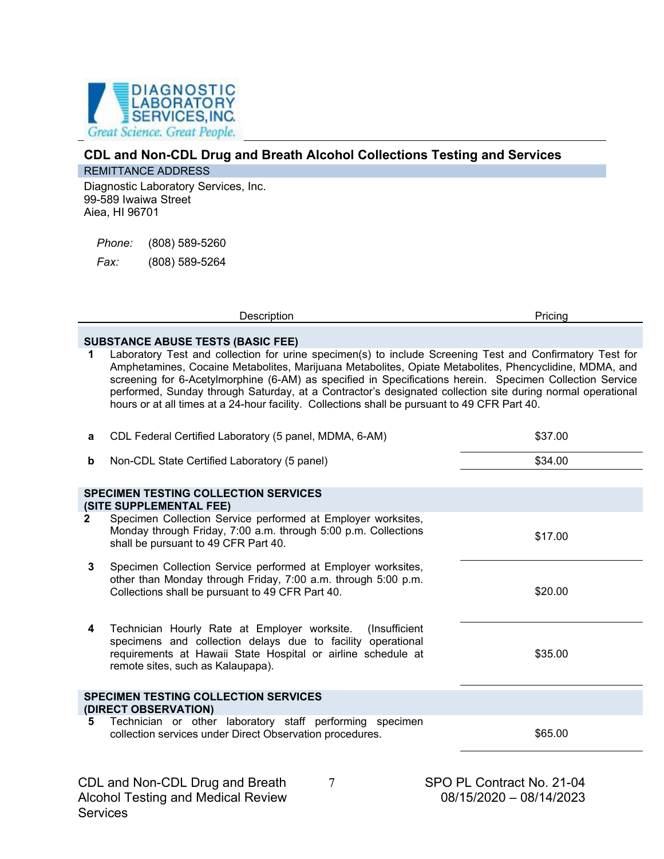

## **CDL and Non-CDL Drug and Breath Alcohol Collections Testing and Services**

### REMITTANCE ADDRESS

Diagnostic Laboratory Services, Inc. 99-589 Iwaiwa Street Aiea, HI 96701

*Phone:* (808) 589-5260

*Fax:* (808) 589-5264

Description **Pricing** 

# **SUBSTANCE ABUSE TESTS (BASIC FEE)**<br>**1** Laboratory Test and collection for urin

**1** Laboratory Test and collection for urine specimen(s) to include Screening Test and Confirmatory Test for Amphetamines, Cocaine Metabolites, Marijuana Metabolites, Opiate Metabolites, Phencyclidine, MDMA, and screening for 6-Acetylmorphine (6-AM) as specified in Specifications herein. Specimen Collection Service performed, Sunday through Saturday, at a Contractor's designated collection site during normal operational hours or at all times at a 24-hour facility. Collections shall be pursuant to 49 CFR Part 40.

| CDL Federal Certified Laboratory (5 panel, MDMA, 6-AM)                                                                                                                                                                         | \$37.00                                                      |
|--------------------------------------------------------------------------------------------------------------------------------------------------------------------------------------------------------------------------------|--------------------------------------------------------------|
| Non-CDL State Certified Laboratory (5 panel)                                                                                                                                                                                   | \$34.00                                                      |
| <b>SPECIMEN TESTING COLLECTION SERVICES</b><br>(SITE SUPPLEMENTAL FEE)                                                                                                                                                         |                                                              |
| Monday through Friday, 7:00 a.m. through 5:00 p.m. Collections<br>shall be pursuant to 49 CFR Part 40.                                                                                                                         | \$17.00                                                      |
| Specimen Collection Service performed at Employer worksites,<br>other than Monday through Friday, 7:00 a.m. through 5:00 p.m.<br>Collections shall be pursuant to 49 CFR Part 40.                                              | \$20.00                                                      |
| Technician Hourly Rate at Employer worksite. (Insufficient<br>specimens and collection delays due to facility operational<br>requirements at Hawaii State Hospital or airline schedule at<br>remote sites, such as Kalaupapa). | \$35.00                                                      |
| <b>SPECIMEN TESTING COLLECTION SERVICES</b><br>(DIRECT OBSERVATION)                                                                                                                                                            |                                                              |
| Technician or other laboratory staff performing specimen<br>collection services under Direct Observation procedures.                                                                                                           | \$65.00                                                      |
|                                                                                                                                                                                                                                | Specimen Collection Service performed at Employer worksites, |

7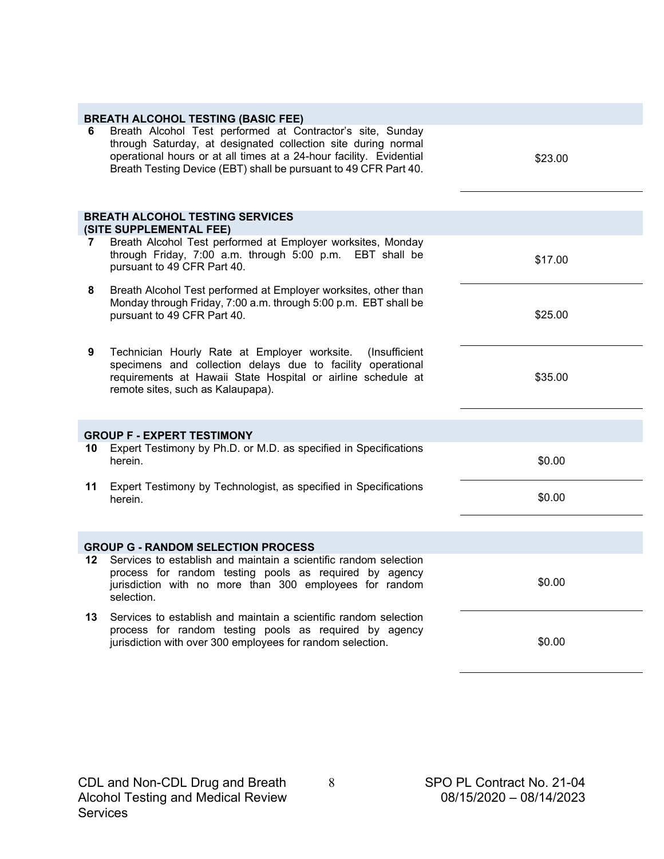|    | <b>BREATH ALCOHOL TESTING (BASIC FEE)</b>                                                                                                                                                                                                                              |         |
|----|------------------------------------------------------------------------------------------------------------------------------------------------------------------------------------------------------------------------------------------------------------------------|---------|
| 6  | Breath Alcohol Test performed at Contractor's site, Sunday<br>through Saturday, at designated collection site during normal<br>operational hours or at all times at a 24-hour facility. Evidential<br>Breath Testing Device (EBT) shall be pursuant to 49 CFR Part 40. | \$23.00 |
|    | <b>BREATH ALCOHOL TESTING SERVICES</b>                                                                                                                                                                                                                                 |         |
|    | (SITE SUPPLEMENTAL FEE)                                                                                                                                                                                                                                                |         |
| 7  | Breath Alcohol Test performed at Employer worksites, Monday<br>through Friday, 7:00 a.m. through 5:00 p.m. EBT shall be<br>pursuant to 49 CFR Part 40.                                                                                                                 | \$17.00 |
| 8  | Breath Alcohol Test performed at Employer worksites, other than<br>Monday through Friday, 7:00 a.m. through 5:00 p.m. EBT shall be<br>pursuant to 49 CFR Part 40.                                                                                                      | \$25.00 |
| 9  | (Insufficient<br>Technician Hourly Rate at Employer worksite.<br>specimens and collection delays due to facility operational<br>requirements at Hawaii State Hospital or airline schedule at<br>remote sites, such as Kalaupapa).                                      | \$35.00 |
|    | <b>GROUP F - EXPERT TESTIMONY</b>                                                                                                                                                                                                                                      |         |
| 10 | Expert Testimony by Ph.D. or M.D. as specified in Specifications<br>herein.                                                                                                                                                                                            | \$0.00  |
| 11 | Expert Testimony by Technologist, as specified in Specifications<br>herein.                                                                                                                                                                                            | \$0.00  |
|    |                                                                                                                                                                                                                                                                        |         |
|    | <b>GROUP G - RANDOM SELECTION PROCESS</b>                                                                                                                                                                                                                              |         |
| 12 | Services to establish and maintain a scientific random selection<br>process for random testing pools as required by agency<br>jurisdiction with no more than 300 employees for random<br>selection.                                                                    | \$0.00  |
| 13 | Services to establish and maintain a scientific random selection<br>process for random testing pools as required by agency<br>jurisdiction with over 300 employees for random selection.                                                                               | \$0.00  |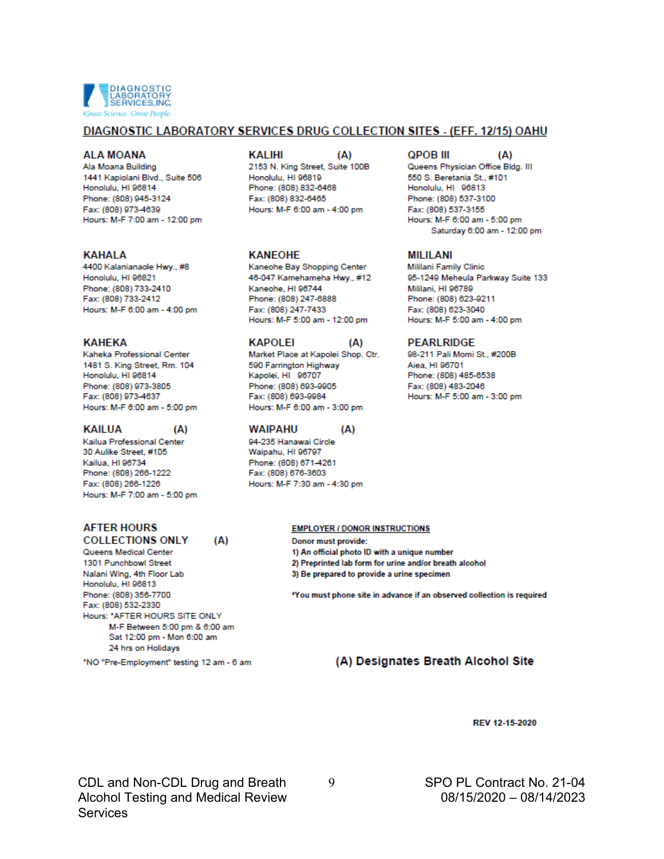

#### DIAGNOSTIC LABORATORY SERVICES DRUG COLLECTION SITES - (EFF. 12/15) OAHU

 $(A)$ 

#### **ALA MOANA**

Ala Moana Building 1441 Kapiolani Blvd., Suite 506 Honolulu, HI 96814 Phone: (808) 945-3124 Fax: (808) 973-4639 Hours: M-F 7:00 am - 12:00 pm

#### **KAHALA**

4400 Kalanianaole Hwy., #8 Honolulu, HI 96821 Phone: (808) 733-2410 Fax: (808) 733-2412 Hours: M-F 6:00 am - 4:00 pm

#### **KAHFKA**

Kaheka Professional Center 1481 S. King Street, Rm. 104 Honolulu, HI 96814 Phone: (808) 973-3805 Fax: (808) 973-4637 Hours: M-F 6:00 am - 5:00 pm

#### **KAILUA**

Kailua Professional Center 30 Aulike Street, #105 Kailua, HI 96734 Phone: (808) 266-1222 Fax: (808) 266-1226 Hours: M-F 7:00 am - 5:00 pm

 $(A)$ 

(A)

#### **AFTER HOURS COLLECTIONS ONLY**

Queens Medical Center 1301 Punchbowl Street Nalani Wing, 4th Floor Lab Honolulu, HI 96813 Phone: (808) 356-7700 Fax: (808) 532-2330 Hours: "AFTER HOURS SITE ONLY M-F Between 5:00 pm & 6:00 am Sat 12:00 pm - Mon 6:00 am 24 hrs on Holidays

"NO "Pre-Employment" testing 12 am - 6 am

#### **KALIHI**

2153 N. King Street, Suite 100B Honolulu, HI 96819 Phone: (808) 832-6468 Fax: (808) 832-6465 Hours: M-F 6:00 am - 4:00 pm

#### **KANEOHE**

Kaneohe Bay Shopping Center 46-047 Kamehameha Hwy., #12 Kaneohe, HI 96744 Phone: (808) 247-6888 Fax: (808) 247-7433 Hours: M-F 5:00 am - 12:00 pm

#### **KAPOLEI**

Market Place at Kapolei Shop. Ctr. 590 Farrington Highway Kapolei, HI 96707 Phone: (808) 693-9905 Fax: (808) 693-9984 Hours: M-F 6:00 am - 3:00 pm

#### **WAIPAHU**

94-235 Hanawai Circle Waipahu, HI 96797 Phone: (808) 671-4261 Fax: (808) 676-3603 Hours: M-F 7:30 am - 4:30 pm

#### **QPOB III**

Queens Physician Office Bldg. III 550 S. Beretania St., #101 Honolulu, HI 96813 Phone: (808) 537-3100 Fax: (808) 537-3155 Hours: M-F 6:00 am - 5:00 pm Saturday 6:00 am - 12:00 pm

 $(A)$ 

#### **MILILANI**

Mililani Family Clinic 95-1249 Meheula Parkway Suite 133 Mililani, HI 96789 Phone: (808) 623-9211 Fax: (808) 623-3040 Hours: M-F 5:00 am - 4:00 pm

#### **PEARLRIDGE**

98-211 Pali Momi St., #200B Aiea, HI 96701 Phone: (808) 485-6538 Fax: (808) 483-2046 Hours: M-F 5:00 am - 3:00 pm

#### **EMPLOYER / DONOR INSTRUCTIONS**

(A)

(A)

Donor must provide: 1) An official photo ID with a unique number 2) Preprinted lab form for urine and/or breath alcohol 3) Be prepared to provide a urine specimen

\*You must phone site in advance if an observed collection is required

#### (A) Designates Breath Alcohol Site

#### REV 12-15-2020

CDL and Non-CDL Drug and Breath **Alcohol Testing and Medical Review Services** 

9

SPO PL Contract No. 21-04 08/15/2020 - 08/14/2023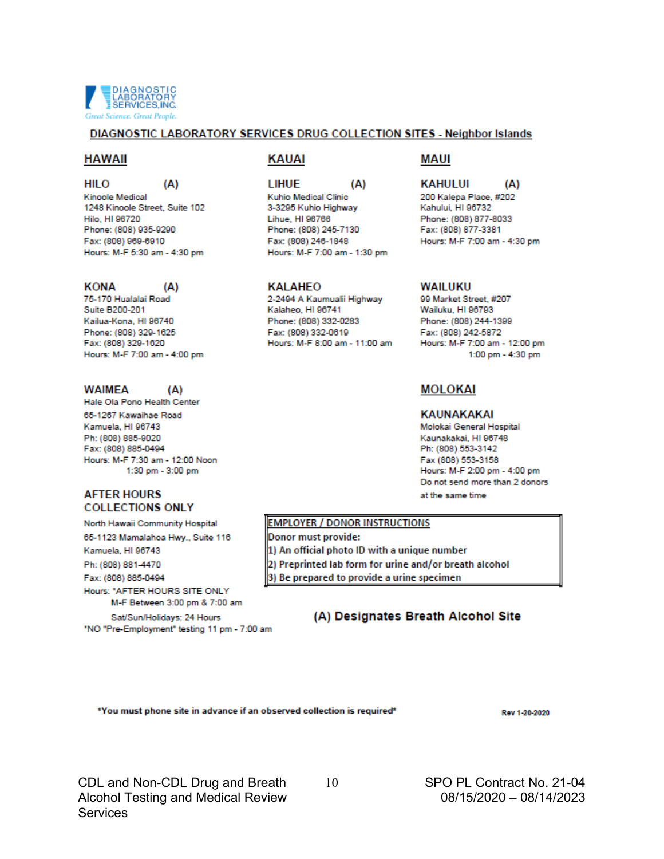

#### DIAGNOSTIC LABORATORY SERVICES DRUG COLLECTION SITES - Neighbor Islands

#### **HAWAII**

**HILO** 

 $(A)$ 

 $(A)$ 

 $(A)$ 

Kinoole Medical 1248 Kinoole Street, Suite 102 Hilo, HI 96720 Phone: (808) 935-9290 Fax: (808) 969-6910 Hours: M-F 5:30 am - 4:30 pm

#### **KONA**

75-170 Hualalai Road Suite B200-201 Kailua-Kona, HI 96740 Phone: (808) 329-1625 Fax: (808) 329-1620 Hours: M-F 7:00 am - 4:00 pm

#### **WAIMEA**

Hale Ola Pono Health Center 65-1267 Kawaihae Road Kamuela, HI 96743 Ph: (808) 885-9020 Fax: (808) 885-0494 Hours: M-F 7:30 am - 12:00 Noon 1:30 pm - 3:00 pm

#### **AFTER HOURS COLLECTIONS ONLY**

North Hawaii Community Hospital

65-1123 Mamalahoa Hwy., Suite 116

Kamuela, HI 96743

Ph: (808) 881-4470

Fax: (808) 885-0494 Hours: \* AFTER HOURS SITE ONLY

M-F Between 3:00 pm & 7:00 am

Sat/Sun/Holidays: 24 Hours "NO "Pre-Employment" testing 11 pm - 7:00 am

#### KAUAI

 $(A)$ LIHUF Kuhio Medical Clinic 3-3295 Kuhio Highway Lihue, HI 96766 Phone: (808) 245-7130 Fax: (808) 246-1848 Hours: M-F 7:00 am - 1:30 pm

#### **KALAHEO**

2-2494 A Kaumualii Highway Kalaheo, HI 96741 Phone: (808) 332-0283 Fax: (808) 332-0619 Hours: M-F 8:00 am - 11:00 am

#### **MAUI**

#### **KAHULUI**  $(A)$

200 Kalepa Place, #202 Kahului, HI 96732 Phone: (808) 877-8033 Fax: (808) 877-3381 Hours: M-F 7:00 am - 4:30 pm

#### **WAILUKU**

99 Market Street #207 Wailuku, HI 96793 Phone: (808) 244-1399 Fax: (808) 242-5872 Hours: M-F 7:00 am - 12:00 pm 1:00 pm - 4:30 pm

### **MOLOKAI**

#### KAUNAKAKAI

Molokai General Hospital Kaunakakai, HI 96748 Ph: (808) 553-3142 Fax (808) 553-3158 Hours: M-F 2:00 pm - 4:00 pm Do not send more than 2 donors at the same time

#### **EMPLOYER / DONOR INSTRUCTIONS**

Donor must provide: 1) An official photo ID with a unique number 2) Preprinted lab form for urine and/or breath alcohol 3) Be prepared to provide a urine specimen

### (A) Designates Breath Alcohol Site

\*You must phone site in advance if an observed collection is required\*

Rev 1-20-2020

CDL and Non-CDL Drug and Breath **Alcohol Testing and Medical Review Services** 

10

SPO PL Contract No. 21-04 08/15/2020 - 08/14/2023